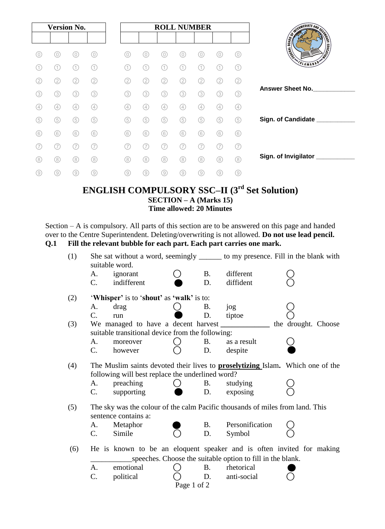| <b>Version No.</b> |                |     |                |     |                |     |     | <b>ROLL NUMBER</b> |     |                                   |
|--------------------|----------------|-----|----------------|-----|----------------|-----|-----|--------------------|-----|-----------------------------------|
|                    |                |     |                |     |                |     |     |                    |     |                                   |
| 0)                 | 0)             | 0)  | (0)            | 0)  | 0)             | 0   | 0)  | 0                  | 0   | 0)                                |
| $\overline{1}$     | (1)            | (1) | (1)            |     | (1             | (1) | (1  |                    | (1) | (1)                               |
| (2)                | (2)            | (2) | (2)            | (2) | (2)            | (2) | (2  | (2)                | (2) | $\rm(2)$                          |
| (3)                | (3)            | (3) | (3)            | 3)  | (3)            | (3) | (3) | (3)                | (3) | (3)                               |
| (4)                | (4)            | (4) | (4)            | (4) | (4)            | (4) | (4) | (4)                | (4) | $\begin{pmatrix} 4 \end{pmatrix}$ |
| (5)                | 5              | (5) | (5)            | (5) | (5)            | (5) | (5) | (5)                | (5) | 5                                 |
| (6)                | $\circledcirc$ | (6) | $\circledcirc$ | (6) | $\circledcirc$ | (6) | (6) | (6)                | (6) | 6                                 |
|                    | (7             |     | (7)            | 7   | (7             | (7  | (7  |                    | 7   | (7)                               |
| (8)                | (8)            | (8) | (8)            | (8) | (8)            | (8) | 8   | (8)                | (8) | (8)                               |
| (9)                | ⊙)             | 9)  | ⊚              | 9   | ⊚              | 0)  | 0   | 9)                 | (9) | ⊚                                 |

# **ENGLISH COMPULSORY SSC–II (3rd Set Solution) SECTION – A (Marks 15) Time allowed: 20 Minutes**

Section – A is compulsory. All parts of this section are to be answered on this page and handed over to the Centre Superintendent. Deleting/overwriting is not allowed. **Do not use lead pencil. Q.1 Fill the relevant bubble for each part. Each part carries one mark.** 

| (1) |                                                                                                                                           | suitable word.                      |             | She sat without a word, seemingly _______ to my presence. Fill in the blank with |                                                                               |                                                                       |  |
|-----|-------------------------------------------------------------------------------------------------------------------------------------------|-------------------------------------|-------------|----------------------------------------------------------------------------------|-------------------------------------------------------------------------------|-----------------------------------------------------------------------|--|
|     | А.                                                                                                                                        | ignorant                            |             | <b>B.</b>                                                                        | different                                                                     |                                                                       |  |
|     | C.                                                                                                                                        | indifferent                         |             | D.                                                                               | diffident                                                                     |                                                                       |  |
| (2) | 'Whisper' is to 'shout' as 'walk' is to:                                                                                                  |                                     |             |                                                                                  |                                                                               |                                                                       |  |
|     | А.                                                                                                                                        | drag                                |             | <b>B.</b>                                                                        | jog                                                                           |                                                                       |  |
|     | $\mathcal{C}$ .                                                                                                                           | run                                 |             | D.                                                                               | tiptoe                                                                        |                                                                       |  |
| (3) |                                                                                                                                           | We managed to have a decent harvest |             |                                                                                  |                                                                               | the drought. Choose                                                   |  |
|     | suitable transitional device from the following:                                                                                          |                                     |             |                                                                                  |                                                                               |                                                                       |  |
|     | A.                                                                                                                                        | moreover                            |             | B.                                                                               | as a result                                                                   |                                                                       |  |
|     | $\mathbf{C}$ .                                                                                                                            | however                             |             | D.                                                                               | despite                                                                       |                                                                       |  |
| (4) | The Muslim saints devoted their lives to <b>proselytizing</b> Islam. Which one of the<br>following will best replace the underlined word? |                                     |             |                                                                                  |                                                                               |                                                                       |  |
|     | A.                                                                                                                                        | preaching                           |             | B.                                                                               | studying                                                                      |                                                                       |  |
|     | C.                                                                                                                                        | supporting                          |             | D.                                                                               | exposing                                                                      |                                                                       |  |
| (5) |                                                                                                                                           | sentence contains a:                |             |                                                                                  | The sky was the colour of the calm Pacific thousands of miles from land. This |                                                                       |  |
|     | А.                                                                                                                                        | Metaphor                            |             | <b>B.</b>                                                                        | Personification                                                               |                                                                       |  |
|     | $\mathbf{C}$ .                                                                                                                            | Simile                              |             | D.                                                                               | Symbol                                                                        |                                                                       |  |
| (6) |                                                                                                                                           |                                     |             |                                                                                  |                                                                               | He is known to be an eloquent speaker and is often invited for making |  |
|     | speeches. Choose the suitable option to fill in the blank.                                                                                |                                     |             |                                                                                  |                                                                               |                                                                       |  |
|     | A.                                                                                                                                        | emotional                           |             | <b>B.</b>                                                                        | rhetorical                                                                    |                                                                       |  |
|     | C.                                                                                                                                        | political                           |             | D.                                                                               | anti-social                                                                   |                                                                       |  |
|     |                                                                                                                                           |                                     | Page 1 of 2 |                                                                                  |                                                                               |                                                                       |  |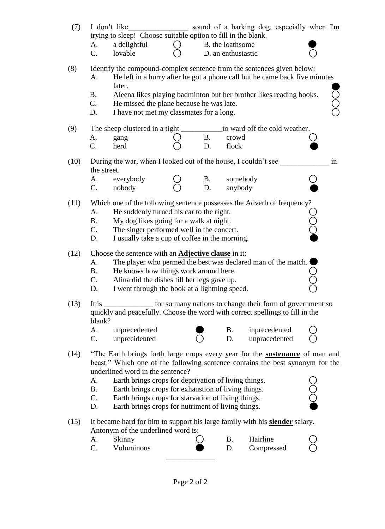| (7)  | sound of a barking dog, especially when I'm<br>I don't like                                                                                                |                                                                                              |  |                 |                                        |               |  |  |  |  |  |
|------|------------------------------------------------------------------------------------------------------------------------------------------------------------|----------------------------------------------------------------------------------------------|--|-----------------|----------------------------------------|---------------|--|--|--|--|--|
|      |                                                                                                                                                            | trying to sleep! Choose suitable option to fill in the blank.                                |  |                 |                                        |               |  |  |  |  |  |
|      | А.<br>C.                                                                                                                                                   | a delightful<br>lovable                                                                      |  |                 | B. the loathsome<br>D. an enthusiastic |               |  |  |  |  |  |
|      |                                                                                                                                                            |                                                                                              |  |                 |                                        |               |  |  |  |  |  |
| (8)  | Identify the compound-complex sentence from the sentences given below:<br>He left in a hurry after he got a phone call but he came back five minutes<br>А. |                                                                                              |  |                 |                                        |               |  |  |  |  |  |
|      |                                                                                                                                                            | later.                                                                                       |  |                 |                                        |               |  |  |  |  |  |
|      | <b>B.</b>                                                                                                                                                  | Ō<br>O<br>Aleena likes playing badminton but her brother likes reading books.                |  |                 |                                        |               |  |  |  |  |  |
|      | C.<br>D.                                                                                                                                                   | He missed the plane because he was late.<br>I have not met my classmates for a long.         |  |                 |                                        |               |  |  |  |  |  |
|      |                                                                                                                                                            |                                                                                              |  |                 |                                        |               |  |  |  |  |  |
| (9)  |                                                                                                                                                            | The sheep clustered in a tight _______________ to ward off the cold weather.                 |  |                 |                                        |               |  |  |  |  |  |
|      | А.<br>C.                                                                                                                                                   | gang<br>herd                                                                                 |  | <b>B.</b><br>D. | crowd<br>flock                         |               |  |  |  |  |  |
|      |                                                                                                                                                            |                                                                                              |  |                 |                                        |               |  |  |  |  |  |
| (10) | During the war, when I looked out of the house, I couldn't see<br>1n<br>the street.                                                                        |                                                                                              |  |                 |                                        |               |  |  |  |  |  |
|      | А.                                                                                                                                                         | everybody                                                                                    |  | <b>B.</b>       | somebody                               |               |  |  |  |  |  |
|      | C.                                                                                                                                                         | nobody                                                                                       |  | D.              | anybody                                |               |  |  |  |  |  |
| (11) |                                                                                                                                                            | Which one of the following sentence possesses the Adverb of frequency?                       |  |                 |                                        |               |  |  |  |  |  |
|      | A.                                                                                                                                                         | He suddenly turned his car to the right.                                                     |  |                 |                                        |               |  |  |  |  |  |
|      | <b>B.</b><br>$C_{\cdot}$                                                                                                                                   | My dog likes going for a walk at night.<br>The singer performed well in the concert.         |  |                 |                                        |               |  |  |  |  |  |
|      | D.                                                                                                                                                         | I usually take a cup of coffee in the morning.                                               |  |                 |                                        |               |  |  |  |  |  |
| (12) |                                                                                                                                                            |                                                                                              |  |                 |                                        |               |  |  |  |  |  |
|      | Choose the sentence with an <b>Adjective clause</b> in it:<br>The player who permed the best was declared man of the match.<br>А.                          |                                                                                              |  |                 |                                        |               |  |  |  |  |  |
|      | <b>B.</b>                                                                                                                                                  | He knows how things work around here.                                                        |  |                 |                                        |               |  |  |  |  |  |
|      | C.<br>D.                                                                                                                                                   | Alina did the dishes till her legs gave up.<br>I went through the book at a lightning speed. |  |                 |                                        |               |  |  |  |  |  |
|      |                                                                                                                                                            |                                                                                              |  |                 |                                        |               |  |  |  |  |  |
| (13) | It is<br>for so many nations to change their form of government so<br>quickly and peacefully. Choose the word with correct spellings to fill in the        |                                                                                              |  |                 |                                        |               |  |  |  |  |  |
|      | blank?                                                                                                                                                     |                                                                                              |  |                 |                                        |               |  |  |  |  |  |
|      | А.                                                                                                                                                         | unprecedented                                                                                |  |                 | B.                                     | inprecedented |  |  |  |  |  |
|      | C.                                                                                                                                                         | unprecidented                                                                                |  |                 | D.                                     | unpracedented |  |  |  |  |  |
| (14) | "The Earth brings forth large crops every year for the <b>sustenance</b> of man and                                                                        |                                                                                              |  |                 |                                        |               |  |  |  |  |  |
|      | beast." Which one of the following sentence contains the best synonym for the<br>underlined word in the sentence?                                          |                                                                                              |  |                 |                                        |               |  |  |  |  |  |
|      | A.                                                                                                                                                         | Earth brings crops for deprivation of living things.                                         |  |                 |                                        |               |  |  |  |  |  |
|      | <b>B.</b>                                                                                                                                                  | $\breve{\text{O}}$<br>Earth brings crops for exhaustion of living things.                    |  |                 |                                        |               |  |  |  |  |  |
|      | C.<br>Earth brings crops for starvation of living things.<br>Earth brings crops for nutriment of living things.<br>D.                                      |                                                                                              |  |                 |                                        |               |  |  |  |  |  |
|      |                                                                                                                                                            |                                                                                              |  |                 |                                        |               |  |  |  |  |  |
| (15) | It became hard for him to support his large family with his <b>slender</b> salary.<br>Antonym of the underlined word is:                                   |                                                                                              |  |                 |                                        |               |  |  |  |  |  |
|      | А.                                                                                                                                                         | Skinny                                                                                       |  |                 | <b>B.</b>                              | Hairline      |  |  |  |  |  |
|      | C.                                                                                                                                                         | Voluminous                                                                                   |  |                 | D.                                     | Compressed    |  |  |  |  |  |
|      |                                                                                                                                                            |                                                                                              |  |                 |                                        |               |  |  |  |  |  |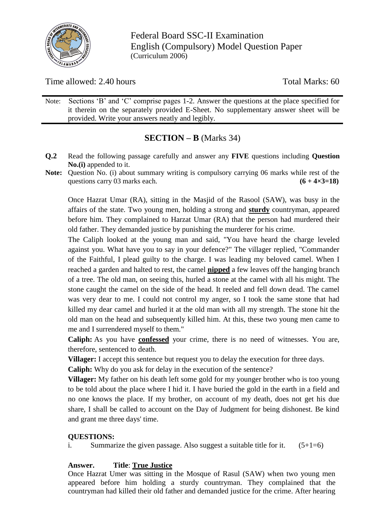

Federal Board SSC-II Examination English (Compulsory) Model Question Paper (Curriculum 2006)

Time allowed: 2.40 hours Total Marks: 60

Note: Sections "B" and "C" comprise pages 1-2. Answer the questions at the place specified for it therein on the separately provided E-Sheet. No supplementary answer sheet will be provided. Write your answers neatly and legibly.

# **SECTION – B** (Marks 34)

- **Q.2** Read the following passage carefully and answer any **FIVE** questions including **Question No.(i)** appended to it.
- **Note:** Question No. (i) about summary writing is compulsory carrying 06 marks while rest of the questions carry 03 marks each.  $(6 + 4 \times 3 = 18)$

Once Hazrat Umar (RA), sitting in the Masjid of the Rasool (SAW), was busy in the affairs of the state. Two young men, holding a strong and **sturdy** countryman, appeared before him. They complained to Harzat Umar (RA) that the person had murdered their old father. They demanded justice by punishing the murderer for his crime.

The Caliph looked at the young man and said, "You have heard the charge leveled against you. What have you to say in your defence?" The villager replied, "Commander of the Faithful, I plead guilty to the charge. I was leading my beloved camel. When I reached a garden and halted to rest, the camel **nipped** a few leaves off the hanging branch of a tree. The old man, on seeing this, hurled a stone at the camel with all his might. The stone caught the camel on the side of the head. It reeled and fell down dead. The camel was very dear to me. I could not control my anger, so I took the same stone that had killed my dear camel and hurled it at the old man with all my strength. The stone hit the old man on the head and subsequently killed him. At this, these two young men came to me and I surrendered myself to them."

**Caliph:** As you have **confessed** your crime, there is no need of witnesses. You are, therefore, sentenced to death.

**Villager:** I accept this sentence but request you to delay the execution for three days.

**Caliph:** Why do you ask for delay in the execution of the sentence?

**Villager:** My father on his death left some gold for my younger brother who is too young to be told about the place where I hid it. I have buried the gold in the earth in a field and no one knows the place. If my brother, on account of my death, does not get his due share, I shall be called to account on the Day of Judgment for being dishonest. Be kind and grant me three days' time.

## **QUESTIONS:**

i. Summarize the given passage. Also suggest a suitable title for it.  $(5+1=6)$ 

## **Answer. Title**: **True Justice**

Once Hazrat Umer was sitting in the Mosque of Rasul (SAW) when two young men appeared before him holding a sturdy countryman. They complained that the countryman had killed their old father and demanded justice for the crime. After hearing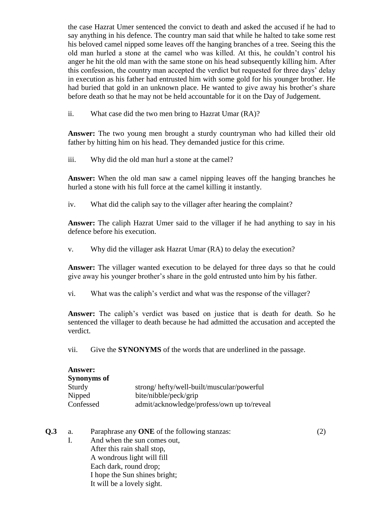the case Hazrat Umer sentenced the convict to death and asked the accused if he had to say anything in his defence. The country man said that while he halted to take some rest his beloved camel nipped some leaves off the hanging branches of a tree. Seeing this the old man hurled a stone at the camel who was killed. At this, he couldn"t control his anger he hit the old man with the same stone on his head subsequently killing him. After this confession, the country man accepted the verdict but requested for three days" delay in execution as his father had entrusted him with some gold for his younger brother. He had buried that gold in an unknown place. He wanted to give away his brother's share before death so that he may not be held accountable for it on the Day of Judgement.

ii. What case did the two men bring to Hazrat Umar (RA)?

**Answer:** The two young men brought a sturdy countryman who had killed their old father by hitting him on his head. They demanded justice for this crime.

iii. Why did the old man hurl a stone at the camel?

**Answer:** When the old man saw a camel nipping leaves off the hanging branches he hurled a stone with his full force at the camel killing it instantly.

iv. What did the caliph say to the villager after hearing the complaint?

**Answer:** The caliph Hazrat Umer said to the villager if he had anything to say in his defence before his execution.

v. Why did the villager ask Hazrat Umar (RA) to delay the execution?

**Answer:** The villager wanted execution to be delayed for three days so that he could give away his younger brother"s share in the gold entrusted unto him by his father.

vi. What was the caliph"s verdict and what was the response of the villager?

**Answer:** The caliph"s verdict was based on justice that is death for death. So he sentenced the villager to death because he had admitted the accusation and accepted the verdict.

vii. Give the **SYNONYMS** of the words that are underlined in the passage.

| <b>Answer:</b> |                                            |
|----------------|--------------------------------------------|
| Synonyms of    |                                            |
| Sturdy         | strong/hefty/well-built/muscular/powerful  |
| Nipped         | bite/nibble/peck/grip                      |
| Confessed      | admit/acknowledge/profess/own up to/reveal |

**Q.3** a. Paraphrase any **ONE** of the following stanzas: (2) I. And when the sun comes out, After this rain shall stop, A wondrous light will fill Each dark, round drop; I hope the Sun shines bright; It will be a lovely sight.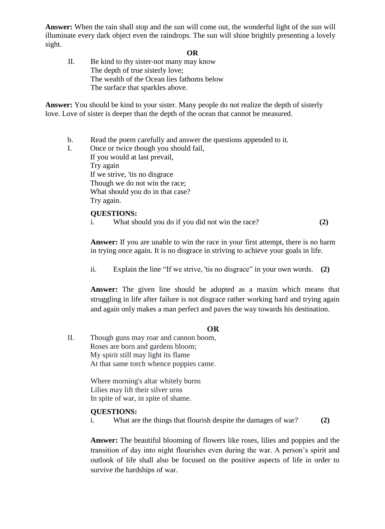**Answer:** When the rain shall stop and the sun will come out, the wonderful light of the sun will illuminate every dark object even the raindrops. The sun will shine brightly presenting a lovely sight.

#### **OR**

II. Be kind to thy sister-not many may know The depth of true sisterly love; The wealth of the Ocean lies fathoms below The surface that sparkles above.

**Answer:** You should be kind to your sister. Many people do not realize the depth of sisterly love. Love of sister is deeper than the depth of the ocean that cannot be measured.

- b. Read the poem carefully and answer the questions appended to it.
- I. Once or twice though you should fail, If you would at last prevail, Try again If we strive, 'tis no disgrace Though we do not win the race; What should you do in that case? Try again.

#### **QUESTIONS:**

i. What should you do if you did not win the race? **(2)**

**Answer:** If you are unable to win the race in your first attempt, there is no harm in trying once again. It is no disgrace in striving to achieve your goals in life.

ii. Explain the line "If we strive, 'tis no disgrace" in your own words. **(2)**

**Answer:** The given line should be adopted as a maxim which means that struggling in life after failure is not disgrace rather working hard and trying again and again only makes a man perfect and paves the way towards his destination.

#### **OR**

II. Though guns may roar and cannon boom, Roses are born and gardens bloom; My spirit still may light its flame At that same torch whence poppies came.

> Where morning's altar whitely burns Lilies may lift their silver urns In spite of war, in spite of shame.

#### **QUESTIONS:**

i. What are the things that flourish despite the damages of war? **(2)**

**Answer:** The beautiful blooming of flowers like roses, lilies and poppies and the transition of day into night flourishes even during the war. A person"s spirit and outlook of life shall also be focused on the positive aspects of life in order to survive the hardships of war.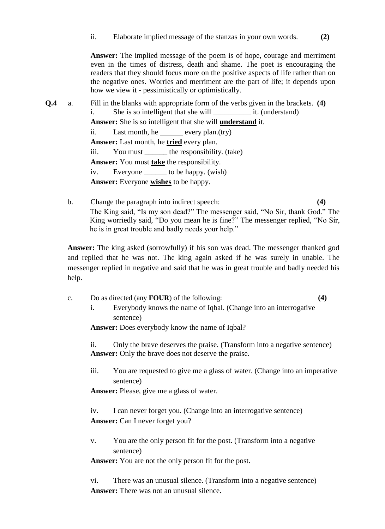**Answer:** The implied message of the poem is of hope, courage and merriment even in the times of distress, death and shame. The poet is encouraging the readers that they should focus more on the positive aspects of life rather than on the negative ones. Worries and merriment are the part of life; it depends upon how we view it - pessimistically or optimistically.

- **Q.4** a. Fill in the blanks with appropriate form of the verbs given in the brackets. **(4)** i. She is so intelligent that she will \_\_\_\_\_\_\_\_\_\_\_\_\_\_\_ it. (understand) **Answer:** She is so intelligent that she will **understand** it. ii. Last month, he \_\_\_\_\_\_ every plan.(try) **Answer:** Last month, he **tried** every plan. iii. You must \_\_\_\_\_\_ the responsibility. (take) **Answer:** You must **take** the responsibility. iv. Everyone \_\_\_\_\_\_ to be happy. (wish) **Answer:** Everyone **wishes** to be happy.
	- b. Change the paragraph into indirect speech: **(4)** The King said, "Is my son dead?" The messenger said, "No Sir, thank God." The King worriedly said, "Do you mean he is fine?" The messenger replied, "No Sir, he is in great trouble and badly needs your help."

**Answer:** The king asked (sorrowfully) if his son was dead. The messenger thanked god and replied that he was not. The king again asked if he was surely in unable. The messenger replied in negative and said that he was in great trouble and badly needed his help.

- c. Do as directed (any **FOUR**) of the following: **(4)**
	- i. Everybody knows the name of Iqbal. (Change into an interrogative sentence)

**Answer:** Does everybody know the name of Iqbal?

ii. Only the brave deserves the praise. (Transform into a negative sentence) **Answer:** Only the brave does not deserve the praise.

iii. You are requested to give me a glass of water. (Change into an imperative sentence)

**Answer:** Please, give me a glass of water.

iv. I can never forget you. (Change into an interrogative sentence) **Answer:** Can I never forget you?

v. You are the only person fit for the post. (Transform into a negative sentence)

**Answer:** You are not the only person fit for the post.

vi. There was an unusual silence. (Transform into a negative sentence) **Answer:** There was not an unusual silence.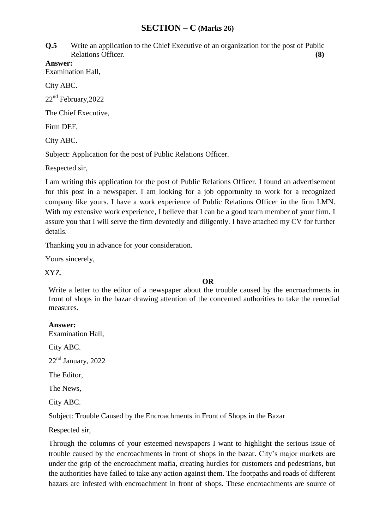## **SECTION – C (Marks 26)**

**Q.5** Write an application to the Chief Executive of an organization for the post of Public Relations Officer. **(8)** 

**Answer:**

Examination Hall,

City ABC.

22<sup>nd</sup> February, 2022

The Chief Executive,

Firm DEF,

City ABC.

Subject: Application for the post of Public Relations Officer.

Respected sir,

I am writing this application for the post of Public Relations Officer. I found an advertisement for this post in a newspaper. I am looking for a job opportunity to work for a recognized company like yours. I have a work experience of Public Relations Officer in the firm LMN. With my extensive work experience, I believe that I can be a good team member of your firm. I assure you that I will serve the firm devotedly and diligently. I have attached my CV for further details.

Thanking you in advance for your consideration.

Yours sincerely,

XYZ.

### **OR**

Write a letter to the editor of a newspaper about the trouble caused by the encroachments in front of shops in the bazar drawing attention of the concerned authorities to take the remedial measures.

### **Answer:**

Examination Hall,

City ABC.

 $22<sup>nd</sup>$  January,  $2022$ 

The Editor,

The News,

City ABC.

Subject: Trouble Caused by the Encroachments in Front of Shops in the Bazar

Respected sir,

Through the columns of your esteemed newspapers I want to highlight the serious issue of trouble caused by the encroachments in front of shops in the bazar. City"s major markets are under the grip of the encroachment mafia, creating hurdles for customers and pedestrians, but the authorities have failed to take any action against them. The footpaths and roads of different bazars are infested with encroachment in front of shops. These encroachments are source of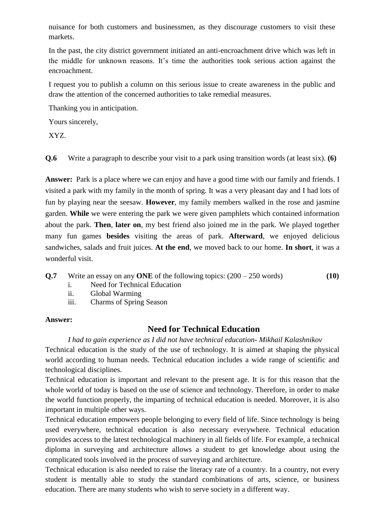nuisance for both customers and businessmen, as they discourage customers to visit these markets.

In the past, the city district government initiated an anti-encroachment drive which was left in the middle for unknown reasons. It"s time the authorities took serious action against the encroachment.

I request you to publish a column on this serious issue to create awareness in the public and draw the attention of the concerned authorities to take remedial measures.

Thanking you in anticipation.

Yours sincerely,

XYZ.

**Q.6** Write a paragraph to describe your visit to a park using transition words (at least six). **(6)**

Answer: Park is a place where we can enjoy and have a good time with our family and friends. I visited a park with my family in the month of spring. It was a very pleasant day and I had lots of fun by playing near the seesaw. **However**, my family members walked in the rose and jasmine garden. **While** we were entering the park we were given pamphlets which contained information about the park. **Then**, **later on**, my best friend also joined me in the park. We played together many fun games **besides** visiting the areas of park. **Afterward**, we enjoyed delicious sandwiches, salads and fruit juices. **At the end**, we moved back to our home. **In short**, it was a wonderful visit.

### **Q.7** Write an essay on any **ONE** of the following topics: (200 – 250 words) **(10)**

- i. Need for Technical Education
- ii. Global Warming
- iii. Charms of Spring Season

### **Answer:**

## **Need for Technical Education**

*I had to gain experience as I did not have technical education- Mikhail Kalashnikov*

Technical education is the study of the use of technology. It is aimed at shaping the physical world according to human needs. Technical education includes a wide range of scientific and technological disciplines.

Technical education is important and relevant to the present age. It is for this reason that the whole world of today is based on the use of science and technology. Therefore, in order to make the world function properly, the imparting of technical education is needed. Moreover, it is also important in multiple other ways.

Technical education empowers people belonging to every field of life. Since technology is being used everywhere, technical education is also necessary everywhere. Technical education provides access to the latest technological machinery in all fields of life. For example, a technical diploma in surveying and architecture allows a student to get knowledge about using the complicated tools involved in the process of surveying and architecture.

Technical education is also needed to raise the literacy rate of a country. In a country, not every student is mentally able to study the standard combinations of arts, science, or business education. There are many students who wish to serve society in a different way.